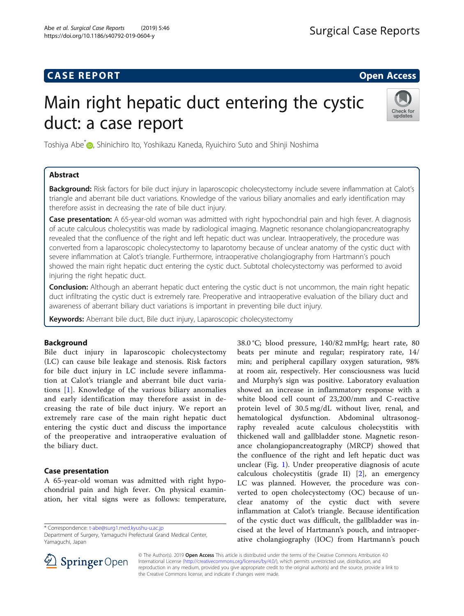# **CASE REPORT CASE REPORT CASE REPORT**

# Main right hepatic duct entering the cystic duct: a case report



Toshiya Abe<sup>\*</sup> D[,](http://orcid.org/0000-0003-2148-4852) Shinichiro Ito, Yoshikazu Kaneda, Ryuichiro Suto and Shinji Noshima

# Abstract

Background: Risk factors for bile duct injury in laparoscopic cholecystectomy include severe inflammation at Calot's triangle and aberrant bile duct variations. Knowledge of the various biliary anomalies and early identification may therefore assist in decreasing the rate of bile duct injury.

Case presentation: A 65-year-old woman was admitted with right hypochondrial pain and high fever. A diagnosis of acute calculous cholecystitis was made by radiological imaging. Magnetic resonance cholangiopancreatography revealed that the confluence of the right and left hepatic duct was unclear. Intraoperatively, the procedure was converted from a laparoscopic cholecystectomy to laparotomy because of unclear anatomy of the cystic duct with severe inflammation at Calot's triangle. Furthermore, intraoperative cholangiography from Hartmann's pouch showed the main right hepatic duct entering the cystic duct. Subtotal cholecystectomy was performed to avoid injuring the right hepatic duct.

**Conclusion:** Although an aberrant hepatic duct entering the cystic duct is not uncommon, the main right hepatic duct infiltrating the cystic duct is extremely rare. Preoperative and intraoperative evaluation of the biliary duct and awareness of aberrant biliary duct variations is important in preventing bile duct injury.

Keywords: Aberrant bile duct, Bile duct injury, Laparoscopic cholecystectomy

# Background

Bile duct injury in laparoscopic cholecystectomy (LC) can cause bile leakage and stenosis. Risk factors for bile duct injury in LC include severe inflammation at Calot's triangle and aberrant bile duct variations [\[1](#page-3-0)]. Knowledge of the various biliary anomalies and early identification may therefore assist in decreasing the rate of bile duct injury. We report an extremely rare case of the main right hepatic duct entering the cystic duct and discuss the importance of the preoperative and intraoperative evaluation of the biliary duct.

# Case presentation

A 65-year-old woman was admitted with right hypochondrial pain and high fever. On physical examination, her vital signs were as follows: temperature,

\* Correspondence: [t-abe@surg1.med.kyushu-u.ac.jp](mailto:t-abe@surg1.med.kyushu-u.ac.jp)

Department of Surgery, Yamaguchi Prefectural Grand Medical Center, Yamaguchi, Japan





© The Author(s). 2019 Open Access This article is distributed under the terms of the Creative Commons Attribution 4.0 International License ([http://creativecommons.org/licenses/by/4.0/\)](http://creativecommons.org/licenses/by/4.0/), which permits unrestricted use, distribution, and reproduction in any medium, provided you give appropriate credit to the original author(s) and the source, provide a link to the Creative Commons license, and indicate if changes were made.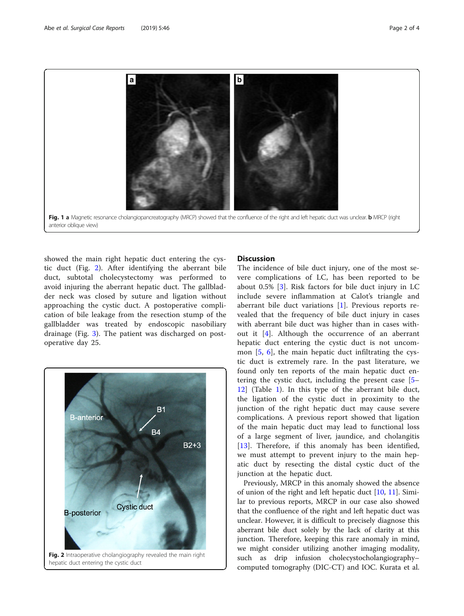<span id="page-1-0"></span>

showed the main right hepatic duct entering the cystic duct (Fig. 2). After identifying the aberrant bile duct, subtotal cholecystectomy was performed to avoid injuring the aberrant hepatic duct. The gallbladder neck was closed by suture and ligation without approaching the cystic duct. A postoperative complication of bile leakage from the resection stump of the gallbladder was treated by endoscopic nasobiliary drainage (Fig. [3](#page-2-0)). The patient was discharged on postoperative day 25.



## **Discussion**

The incidence of bile duct injury, one of the most severe complications of LC, has been reported to be about 0.5% [[3](#page-3-0)]. Risk factors for bile duct injury in LC include severe inflammation at Calot's triangle and aberrant bile duct variations [\[1](#page-3-0)]. Previous reports revealed that the frequency of bile duct injury in cases with aberrant bile duct was higher than in cases without it [[4\]](#page-3-0). Although the occurrence of an aberrant hepatic duct entering the cystic duct is not uncommon  $[5, 6]$  $[5, 6]$  $[5, 6]$ , the main hepatic duct infiltrating the cystic duct is extremely rare. In the past literature, we found only ten reports of the main hepatic duct entering the cystic duct, including the present case [[5](#page-3-0)– [12\]](#page-3-0) (Table [1](#page-2-0)). In this type of the aberrant bile duct, the ligation of the cystic duct in proximity to the junction of the right hepatic duct may cause severe complications. A previous report showed that ligation of the main hepatic duct may lead to functional loss of a large segment of liver, jaundice, and cholangitis [[13\]](#page-3-0). Therefore, if this anomaly has been identified, we must attempt to prevent injury to the main hepatic duct by resecting the distal cystic duct of the junction at the hepatic duct.

Previously, MRCP in this anomaly showed the absence of union of the right and left hepatic duct [\[10](#page-3-0), [11](#page-3-0)]. Similar to previous reports, MRCP in our case also showed that the confluence of the right and left hepatic duct was unclear. However, it is difficult to precisely diagnose this aberrant bile duct solely by the lack of clarity at this junction. Therefore, keeping this rare anomaly in mind, we might consider utilizing another imaging modality, such as drip infusion cholecystocholangiography– computed tomography (DIC-CT) and IOC. Kurata et al.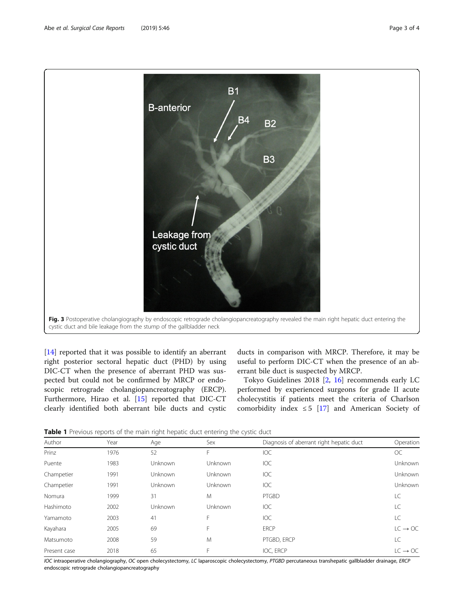<span id="page-2-0"></span>

[[14\]](#page-3-0) reported that it was possible to identify an aberrant right posterior sectoral hepatic duct (PHD) by using DIC-CT when the presence of aberrant PHD was suspected but could not be confirmed by MRCP or endoscopic retrograde cholangiopancreatography (ERCP). Furthermore, Hirao et al. [\[15\]](#page-3-0) reported that DIC-CT clearly identified both aberrant bile ducts and cystic

ducts in comparison with MRCP. Therefore, it may be useful to perform DIC-CT when the presence of an aberrant bile duct is suspected by MRCP.

Tokyo Guidelines 2018 [\[2](#page-3-0), [16\]](#page-3-0) recommends early LC performed by experienced surgeons for grade II acute cholecystitis if patients meet the criteria of Charlson comorbidity index  $\leq$  5 [[17\]](#page-3-0) and American Society of

Table 1 Previous reports of the main right hepatic duct entering the cystic duct

| Author       | Year | Age            | Sex            | Diagnosis of aberrant right hepatic duct | Operation           |
|--------------|------|----------------|----------------|------------------------------------------|---------------------|
| Prinz        | 1976 | 52             | F              | <b>IOC</b>                               | <b>OC</b>           |
| Puente       | 1983 | Unknown        | <b>Unknown</b> | <b>IOC</b>                               | Unknown             |
| Champetier   | 1991 | <b>Unknown</b> | <b>Unknown</b> | <b>IOC</b>                               | Unknown             |
| Champetier   | 1991 | Unknown        | <b>Unknown</b> | <b>IOC</b>                               | Unknown             |
| Nomura       | 1999 | 31             | M              | PTGBD                                    | LC                  |
| Hashimoto    | 2002 | Unknown        | Unknown        | <b>IOC</b>                               | LC                  |
| Yamamoto     | 2003 | 41             | F              | <b>IOC</b>                               | LC                  |
| Kayahara     | 2005 | 69             | F              | <b>ERCP</b>                              | $LC \rightarrow OC$ |
| Matsumoto    | 2008 | 59             | M              | PTGBD, ERCP                              | LC                  |
| Present case | 2018 | 65             | F              | IOC, ERCP                                | $IC \rightarrow OC$ |
|              |      |                |                |                                          |                     |

IOC intraoperative cholangiography, OC open cholecystectomy, LC laparoscopic cholecystectomy, PTGBD percutaneous transhepatic gallbladder drainage, ERCP endoscopic retrograde cholangiopancreatography